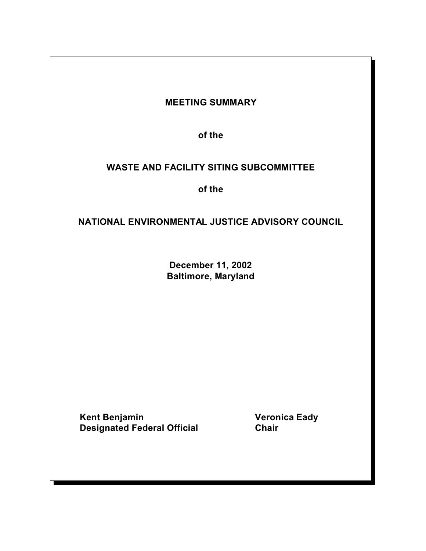# **MEETING SUMMARY**

**of the** 

# **WASTE AND FACILITY SITING SUBCOMMITTEE**

**of the** 

# **NATIONAL ENVIRONMENTAL JUSTICE ADVISORY COUNCIL**

**December 11, 2002 Baltimore, Maryland** 

**Kent Benjamin Contract Contract Contract Contract Contract Contract Contract Contract Contract Contract Contract Contract Contract Contract Contract Contract Contract Contract Contract Contract Contract Contract Contract Designated Federal Official Chair**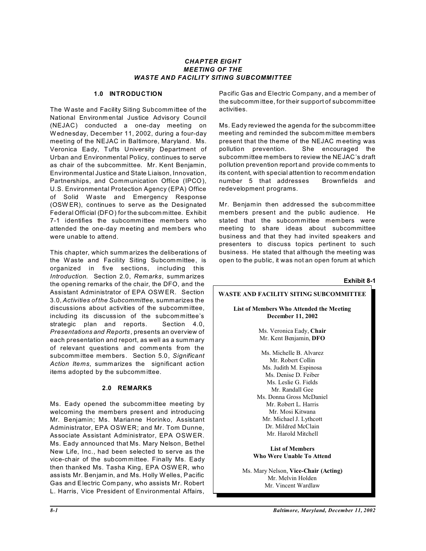#### *CHAPTER EIGHT MEETING OF THE WASTE AND FACILITY SITING SUBCOMMITTEE*

#### **1.0 INTRODUCTION**

The W aste and Facility Siting Subcomm ittee of the National Environmental Justice Advisory Council (NEJAC) conducted a one-day meeting on W ednesday, December 11, 2002, during a four-day meeting of the NEJAC in Baltimore, Maryland. Ms. Veronica Eady, Tufts University Department of Urban and Environmental Policy, continues to serve as chair of the subcommittee. Mr. Kent Benjamin, Environmental Justice and State Liaison, Innovation, Partnerships, and Communication Office (IPCO), U.S. Environmental Protection Agency (EPA) Office of Solid W aste and Emergency Response (OSW ER), continues to serve as the Designated Federal Official (DFO) for the subcommittee. Exhibit 7-1 identifies the subcomm ittee members who attended the one-day meeting and mem bers who were unable to attend.

This chapter, which summ arizes the deliberations of the Waste and Facility Siting Subcommittee, is organized in five sections, including this *Introduction*. Section 2.0, *Remarks*, summ arizes the opening remarks of the chair, the DFO, and the Assistant Administrator of EPA OSWER. Section 3.0, *Activities of the Subcommittee*, summarizes the discussions about activities of the subcommittee. including its discussion of the subcommittee's strategic plan and reports. Section 4.0, *Presentations and Reports*, presents an overview of each presentation and report, as well as a summary of relevant questions and comments from the subcomm ittee members. Section 5.0, *Significant Action Items*, summarizes the significant action items adopted by the subcomm ittee.

#### **2.0 REMARKS**

Ms. Eady opened the subcommittee meeting by welcoming the members present and introducing Mr. Benjamin; Ms. Marianne Horinko, Assistant Administrator, EPA OSWER; and Mr. Tom Dunne, Associate Assistant Administrator, EPA OSWER. Ms. Eady announced that Ms. Mary Nelson, Bethel New Life, Inc., had been selected to serve as the vice-chair of the subcommittee. Finally Ms. Eady then thanked Ms. Tasha King, EPA OSW ER, who assists Mr. Benjam in, and Ms. Holly Welles, Pacific Gas and Electric Company, who assists Mr. Robert L. Harris, Vice President of Environmental Affairs,

Pacific Gas and Electric Company, and a mem ber of the subcomm ittee, for their support of subcommittee activities.

Ms. Eady reviewed the agenda for the subcomm ittee meeting and reminded the subcom mittee members present that the theme of the NEJAC m eeting was pollution prevention. She encouraged the subcomm ittee members to review the NEJAC's draft pollution prevention report and provide comments to its content, with special attention to recommendation number 5 that addresses Brownfields and redevelopment programs.

Mr. Benjamin then addressed the subcommittee members present and the public audience. He stated that the subcommittee members were meeting to share ideas about subcommittee business and that they had invited speakers and presenters to discuss topics pertinent to such business. He stated that although the meeting was open to the public, it was not an open forum at which

**Exhibit 8-1 WASTE AND FACILITY SITING SUBCOMMITTEE List of Members Who Attended the Meeting December 11, 2002** Ms. Veronica Eady, **Chair** Mr. Kent Benjamin, **DFO** Ms. Michelle B. Alvarez Mr. Robert Collin Ms. Judith M. Espinosa Ms. Denise D. Feiber Ms. Leslie G. Fields Mr. Randall Gee Ms. Donna Gross McDaniel Mr. Robert L. Harris Mr. Mosi Kitwana Mr. Michael J. Lythcott Dr. Mildred McClain Mr. Harold Mitchell

**List of Members Who Were Unable To Attend** 

Ms. Mary Nelson, **Vice-Chair (Acting)** Mr. Melvin Holden Mr. Vincent Wardlaw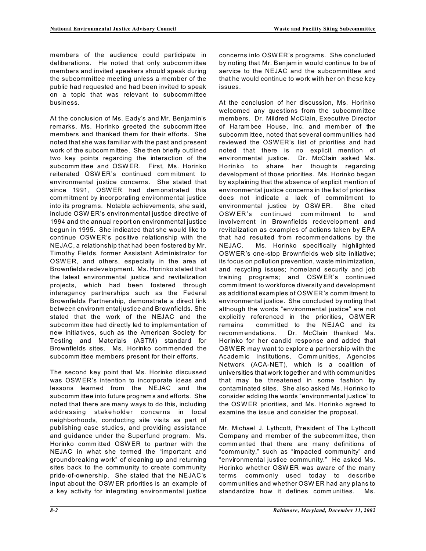members of the audience could participate in deliberations. He noted that only subcommittee members and invited speakers should speak during the subcommittee meeting unless a mem ber of the public had requested and had been invited to speak on a topic that was relevant to subcommittee business.

 between environmental justice and Brownfields. She At the conclusion of Ms. Eady's and Mr. Benjamin's remarks, Ms. Horinko greeted the subcomm ittee members and thanked them for their efforts. She noted that she was familiar with the past and present work of the subcommittee. She then briefly outlined two key points regarding the interaction of the subcomm ittee and OSW ER. First, Ms. Horinko reiterated OSWER's continued commitment to environmental justice concerns. She stated that since 1991, OSW ER had demonstrated this commitment by incorporating environmental justice into its programs. Notable achievements, she said, include OSW ER's environmental justice directive of 1994 and the annual report on environmental justice begun in 1995. She indicated that she would like to continue OSW ER's positive relationship with the NEJAC, a relationship that had been fostered by Mr. Timothy Fields, former Assistant Administrator for OSWER, and others, especially in the area of Brownfields redevelopment. Ms. Horinko stated that the latest environmental justice and revitalization projects, which had been fostered through interagency partnerships such as the Federal Brownfields Partnership, demonstrate a direct link stated that the work of the NEJAC and the subcomm ittee had directly led to implementation of new initiatives, such as the American Society for Testing and Materials (ASTM) standard for Brownfields sites. Ms. Horinko commended the subcomm ittee members present for their efforts.

The second key point that Ms. Horinko discussed was OSW ER's intention to incorporate ideas and lessons learned from the NEJAC and the subcomm ittee into future programs and efforts. She noted that there are many ways to do this, including addressing stakeholder concerns in local neighborhoods, conducting site visits as part of publishing case studies, and providing assistance and guidance under the Superfund program. Ms. Horinko comm itted OSW ER to partner with the NEJAC in what she termed the "important and groundbreaking work" of cleaning up and returning sites back to the comm unity to create community pride-of-ownership. She stated that the NEJAC's input about the OSW ER priorities is an example of a key activity for integrating environmental justice

concerns into OSW ER's programs. She concluded by noting that Mr. Benjam in would continue to be of service to the NEJAC and the subcommittee and that he would continue to work with her on these key issues.

At the conclusion of her discussion, Ms. Horinko welcomed any questions from the subcommittee members. Dr. Mildred McClain, Executive Director of Harambee House, Inc. and mem ber of the subcomm ittee, noted that several comm unities had reviewed the OSWER's list of priorities and had noted that there is no explicit mention of environmental justice. Dr. McClain asked Ms. Horinko to share her thoughts regarding development of those priorities. Ms. Horinko began by explaining that the absence of explicit mention of environmental justice concerns in the list of priorities does not indicate a lack of commitment to environmental justice by OSW ER. She cited OSW ER's continued commitment to and involvement in Brownfields redevelopment and revitalization as examples of actions taken by EPA that had resulted from recomm endations by the NEJAC. Ms. Horinko specifically highlighted OSW ER's one-stop Brownfields web site initiative; its focus on pollution prevention, waste minimization, and recycling issues; homeland security and job training programs; and OSW ER's continued comm itment to workforce diversity and development as additional examples of OSW ER's comm itment to environmental justice. She concluded by noting that although the words "environmental justice" are not explicitly referenced in the priorities, OSW ER remains committed to the NEJAC and its recomm endations. Dr. McClain thanked Ms. Horinko for her candid response and added that OSWER may want to explore a partnership with the Academic Institutions, Comm unities, Agencies Network (ACA-NET), which is a coalition of universities that work together and with communities that may be threatened in some fashion by contaminated sites. She also asked Ms. Horinko to consider adding the words "environmental justice" to the OSWER priorities, and Ms. Horinko agreed to examine the issue and consider the proposal.

Mr. Michael J. Lythcott, President of The Lythcott Company and mem ber of the subcomm ittee, then commented that there are many definitions of "community," such as "impacted community" and "environmental justice community." He asked Ms. Horinko whether OSW ER was aware of the many terms commonly used today to describe comm unities and whether OSW ER had any plans to standardize how it defines comm unities. Ms.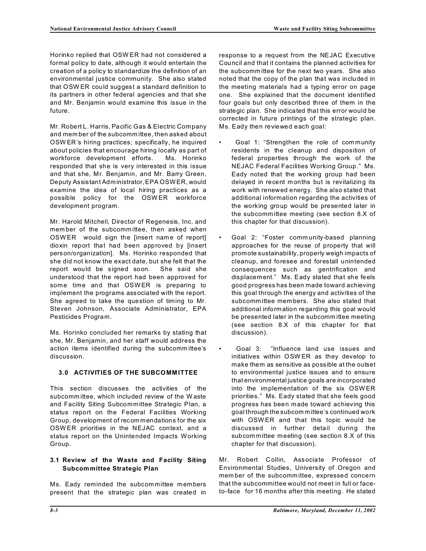Horinko replied that OSW ER had not considered a formal policy to date, although it would entertain the creation of a policy to standardize the definition of an environmental justice community. She also stated that OSW ER could suggest a standard definition to its partners in other federal agencies and that she and Mr. Benjamin would examine this issue in the future.

Mr. Robert L. Harris, Pacific Gas & Electric Company and mem ber of the subcomm ittee, then asked about OSW ER's hiring practices; specifically, he inquired about policies that encourage hiring locally as part of workforce development efforts. Ms. Horinko responded that she is very interested in this issue and that she, Mr. Benjamin, and Mr. Barry Green, Deputy Assistant Administrator,EPA OSWER, would examine the idea of local hiring practices as a possible policy for the OSW ER workforce development program.

Mr. Harold Mitchell, Director of Regenesis, Inc. and member of the subcommittee, then asked when OSWER would sign the [insert name of report] dioxin report that had been approved by [insert person/organization]. Ms. Horinko responded that she did not know the exact date, but she felt that the report would be signed soon. She said she understood that the report had been approved for some time and that OSWER is preparing to implement the programs associated with the report. She agreed to take the question of timing to Mr. Steven Johnson, Associate Administrator, EPA Pesticides Program.

Ms. Horinko concluded her remarks by stating that she, Mr. Benjamin, and her staff would address the action items identified during the subcomm ittee's discussion.

# **3.0 ACTIVITIES OF THE SUBCOMM ITTEE**

This section discusses the activities of the subcomm ittee, which included review of the Waste and Facility Siting Subcommittee Strategic Plan, a status report on the Federal Facilities Working Group, development of recommendations for the six OSWER priorities in the NEJAC context, and a status report on the Unintended Impacts Working Group.

#### **3.1 Review of the Waste and Facility Siting Subcommittee Strategic Plan**

Ms. Eady reminded the subcommittee members present that the strategic plan was created in response to a request from the NEJAC Executive Council and that it contains the planned activities for the subcomm ittee for the next two years. She also noted that the copy of the plan that was included in the meeting materials had a typing error on page one. She explained that the document identified four goals but only described three of them in the strategic plan. She indicated that this error would be corrected in future printings of the strategic plan. Ms. Eady then reviewed each goal:

- Goal 1: "Strengthen the role of community residents in the cleanup and disposition of federal properties through the work of the NEJAC Federal Facilities Working Group." Ms. Eady noted that the working group had been delayed in recent months but is revitalizing its work with renewed energy. She also stated that additional information regarding the activities of the working group would be presented later in the subcomm ittee meeting (see section 8.X of this chapter for that discussion).
- Goal 2: "Foster community-based planning approaches for the reuse of property that will promote sustainability, properly weigh impacts of cleanup, and foresee and forestall unintended consequences such as gentrification and displacement." Ms. Eady stated that she feels good progress has been made toward achieving this goal through the energy and activities of the subcomm ittee mem bers. She also stated that additional information regarding this goal would be presented later in the subcomm ittee meeting (see section 8.X of this chapter for that discussion).
- Goal 3: "Influence land use issues and initiatives within OSW ER as they develop to make them as sensitive as possible at the outset to environmental justice issues and to ensure that environmental justice goals are incorporated into the implementation of the six OSW ER priorities." Ms. Eady stated that she feels good progress has been made toward achieving this goal through the subcom mittee's continued work with OSW ER and that this topic would be discussed in further detail during the subcommittee meeting (see section 8.X of this chapter for that discussion).

Mr. Robert Collin, Associate Professor of Environmental Studies, University of Oregon and member of the subcomm ittee, expressed concern that the subcommittee would not meet in full or faceto-face for 16 months after this meeting. He stated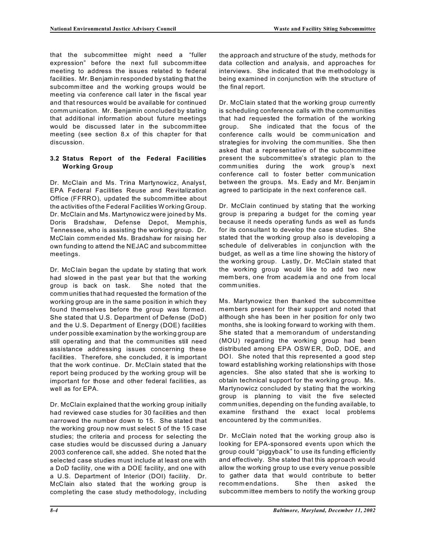that the subcommittee might need a "fuller expression" before the next full subcommittee meeting to address the issues related to federal facilities. Mr. Benjam in responded by stating that the subcomm ittee and the working groups would be meeting via conference call later in the fiscal year and that resources would be available for continued comm unication. Mr. Benjamin concluded by stating that additional information about future meetings would be discussed later in the subcomm ittee meeting (see section 8.x of this chapter for that discussion.

### **3.2 Status Report of the Federal Facilities Working Group**

Dr. McClain and Ms. Trina Martynowicz, Analyst, EPA Federal Facilities Reuse and Revitalization Office (FFRRO), updated the subcomm ittee about the activities of the Federal Facilities W orking Group. Dr. McClain and Ms. Martynowicz were joined by Ms. Doris Bradshaw, Defense Depot, Memphis, Tennessee, who is assisting the working group. Dr. McClain commended Ms. Bradshaw for raising her own funding to attend the NEJAC and subcommittee meetings.

Dr. McClain began the update by stating that work had slowed in the past year but that the working group is back on task. She noted that the comm unities that had requested the formation of the working group are in the same position in which they found themselves before the group was formed. She stated that U.S. Department of Defense (DoD) and the U.S. Department of Energy (DOE) facilities under possible examination by the working group are still operating and that the communities still need assistance addressing issues concerning these facilities. Therefore, she concluded, it is important that the work continue. Dr. McClain stated that the report being produced by the working group will be important for those and other federal facilities, as well as for EPA.

Dr. McClain explained that the working group initially had reviewed case studies for 30 facilities and then narrowed the number down to 15. She stated that the working group now must select 5 of the 15 case studies; the criteria and process for selecting the case studies would be discussed during a January 2003 conference call, she added. She noted that the selected case studies must include at least one with a DoD facility, one with a DOE facility, and one with a U.S. Department of Interior (DOI) facility. Dr. McClain also stated that the working group is completing the case study methodology, including

the approach and structure of the study, methods for data collection and analysis, and approaches for interviews. She indicated that the methodology is being examined in conjunction with the structure of the final report.

Dr. McClain stated that the working group currently is scheduling conference calls with the communities that had requested the formation of the working group. She indicated that the focus of the conference calls would be comm unication and strategies for involving the communities. She then asked that a representative of the subcomm ittee present the subcommittee's strategic plan to the comm unities during the work group's next conference call to foster better communication between the groups. Ms. Eady and Mr. Benjam in agreed to participate in the next conference call.

Dr. McClain continued by stating that the working group is preparing a budget for the coming year because it needs operating funds as well as funds for its consultant to develop the case studies. She stated that the working group also is developing a schedule of deliverables in conjunction with the budget, as well as a time line showing the history of the working group. Lastly, Dr. McClain stated that the working group would like to add two new members, one from academ ia and one from local comm unities.

Ms. Martynowicz then thanked the subcommittee members present for their support and noted that although she has been in her position for only two months, she is looking forward to working with them. She stated that a mem orandum of understanding (MOU) regarding the working group had been distributed among EPA OSWER, DoD, DOE, and DOI. She noted that this represented a good step toward establishing working relationships with those agencies. She also stated that she is working to obtain technical support for the working group. Ms. Martynowicz concluded by stating that the working group is planning to visit the five selected comm unities, depending on the funding available, to examine firsthand the exact local problems encountered by the communities.

Dr. McClain noted that the working group also is looking for EPA-sponsored events upon which the group could "piggyback" to use its funding efficiently and effectively. She stated that this approach would allow the working group to use every venue possible to gather data that would contribute to better recomm endations. She then asked the subcomm ittee members to notify the working group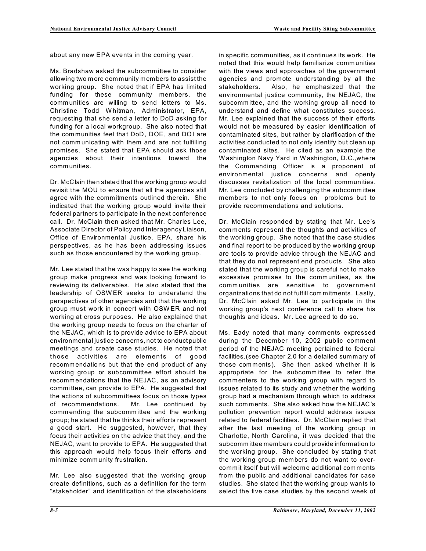about any new EPA events in the coming year.

Ms. Bradshaw asked the subcomm ittee to consider allowing two more community members to assist the working group. She noted that if EPA has limited funding for these community members, the comm unities are willing to send letters to Ms. Christine Todd W hitman, Administrator, EPA, requesting that she send a letter to DoD asking for funding for a local workgroup. She also noted that the communities feel that DoD, DOE, and DOI are not comm unicating with them and are not fulfilling promises. She stated that EPA should ask those agencies about their intentions toward the comm unities.

Dr. McClain then stated that the working group would revisit the MOU to ensure that all the agencies still agree with the commitments outlined therein. She indicated that the working group would invite their federal partners to participate in the next conference call. Dr. McClain then asked that Mr. Charles Lee, Associate Director of Policy and Interagency Liaison, Office of Environmental Justice, EPA, share his perspectives, as he has been addressing issues such as those encountered by the working group.

Mr. Lee stated that he was happy to see the working group make progress and was looking forward to reviewing its deliverables. He also stated that the leadership of OSW ER seeks to understand the perspectives of other agencies and that the working group must work in concert with OSW ER and not working at cross purposes. He also explained that the working group needs to focus on the charter of the NEJAC, which is to provide advice to EPA about environmental justice concerns, not to conduct public meetings and create case studies. He noted that those activities are elements of good recommendations but that the end product of any working group or subcommittee effort should be recomm endations that the NEJAC, as an advisory comm ittee, can provide to EPA. He suggested that the actions of subcommittees focus on those types of recommendations. Mr. Lee continued by commending the subcomm ittee and the working group; he stated that he thinks their efforts represent a good start. He suggested, however, that they focus their activities on the advice that they, and the NEJAC, want to provide to EPA. He suggested that this approach would help focus their efforts and minimize comm unity frustration.

Mr. Lee also suggested that the working group create definitions, such as a definition for the term "stakeholder" and identification of the stakeholders in specific communities, as it continues its work. He noted that this would help familiarize comm unities with the views and approaches of the government agencies and promote understanding by all the stakeholders. Also, he emphasized that the environmental justice community, the NEJAC, the subcomm ittee, and the working group all need to understand and define what constitutes success. Mr. Lee explained that the success of their efforts would not be measured by easier identification of contaminated sites, but rather by clarification of the activities conducted to not only identify but clean up contaminated sites. He cited as an example the W ashington Navy Yard in Washington, D.C.,where the Commanding Officer is a proponent of environmental justice concerns and openly discusses revitalization of the local communities. Mr. Lee concluded by challenging the subcommittee members to not only focus on problems but to provide recommendations and solutions.

Dr. McClain responded by stating that Mr. Lee's comments represent the thoughts and activities of the working group. She noted that the case studies and final report to be produced by the working group are tools to provide advice through the NEJAC and that they do not represent end products. She also stated that the working group is careful not to make excessive promises to the communities, as the comm unities are sensitive to government organizations that do not fulfill commitments. Lastly, Dr. McClain asked Mr. Lee to participate in the working group's next conference call to share his thoughts and ideas. Mr. Lee agreed to do so.

Ms. Eady noted that many comments expressed during the December 10, 2002 public comment period of the NEJAC meeting pertained to federal facilities.(see Chapter 2.0 for a detailed summary of those comments). She then asked whether it is appropriate for the subcomm ittee to refer the commenters to the working group with regard to issues related to its study and whether the working group had a mechanism through which to address such comments. She also asked how the NEJAC's pollution prevention report would address issues related to federal facilities. Dr. McClain replied that after the last meeting of the working group in Charlotte, North Carolina, it was decided that the subcomm ittee mem bers could provide information to the working group. She concluded by stating that the working group members do not want to overcommit itself but will welcome additional comments from the public and additional candidates for case studies. She stated that the working group wants to select the five case studies by the second week of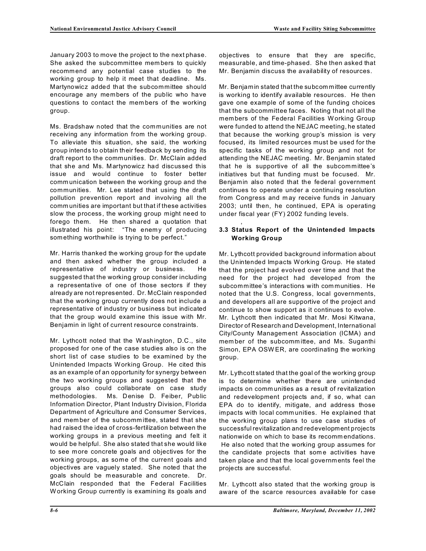January 2003 to move the project to the next phase. She asked the subcommittee mem bers to quickly recommend any potential case studies to the working group to help it meet that deadline. Ms. Martynowicz added that the subcommittee should encourage any members of the public who have questions to contact the mem bers of the working group.

Ms. Bradshaw noted that the communities are not receiving any information from the working group. To alleviate this situation, she said, the working group intends to obtain their feedback by sending its draft report to the communities. Dr. McClain added that she and Ms. Martynowicz had discussed this issue and would continue to foster better comm unication between the working group and the communities. Mr. Lee stated that using the draft pollution prevention report and involving all the comm unities are important but that if these activities slow the process, the working group might need to forego them. He then shared a quotation that illustrated his point: "The enemy of producing something worthwhile is trying to be perfect."

Mr. Harris thanked the working group for the update and then asked whether the group included a representative of industry or business. He suggested that the working group consider including a representative of one of those sectors if they already are not represented. Dr. McClain responded that the working group currently does not include a representative of industry or business but indicated that the group would examine this issue with Mr. Benjamin in light of current resource constraints.

Mr. Lythcott noted that the Washington, D.C., site proposed for one of the case studies also is on the short list of case studies to be examined by the Unintended Impacts Working Group. He cited this as an example of an opportunity for synergy between the two working groups and suggested that the groups also could collaborate on case study methodologies. Ms. Denise D. Feiber, Public Information Director, Plant Industry Division, Florida Department of Agriculture and Consumer Services, and mem ber of the subcomm ittee, stated that she had raised the idea of cross-fertilization between the working groups in a previous meeting and felt it would be helpful. She also stated that she would like to see more concrete goals and objectives for the working groups, as some of the current goals and objectives are vaguely stated. She noted that the goals should be measurable and concrete. Dr. McClain responded that the Federal Facilities W orking Group currently is examining its goals and objectives to ensure that they are specific, measurable, and time-phased. She then asked that Mr. Benjamin discuss the availability of resources.

Mr. Benjamin stated that the subcommittee currently is working to identify available resources. He then gave one example of some of the funding choices that the subcommittee faces. Noting that not all the members of the Federal Facilities W orking Group were funded to attend the NEJAC meeting, he stated that because the working group's mission is very focused, its limited resources must be used for the specific tasks of the working group and not for attending the NEJAC meeting. Mr. Benjamin stated that he is supportive of all the subcommittee's initiatives but that funding must be focused. Mr. Benjamin also noted that the federal government continues to operate under a continuing resolution from Congress and may receive funds in January 2003; until then, he continued, EPA is operating under fiscal year (FY) 2002 funding levels.

### **3.3 Status Report of the Unintended Impacts Working Group**

,

Mr. Lythcott provided background information about the Unintended Impacts Working Group. He stated that the project had evolved over time and that the need for the project had developed from the subcommittee's interactions with communities. He noted that the U.S. Congress, local governments, and developers all are supportive of the project and continue to show support as it continues to evolve. Mr. Lythcott then indicated that Mr. Mosi Kitwana, Director of Research and Development, International City/County Management Association (ICMA) and member of the subcommittee, and Ms. Suganthi Simon, EPA OSW ER, are coordinating the working group.

Mr. Lythcott stated that the goal of the working group is to determine whether there are unintended impacts on comm unities as a result of revitalization and redevelopment projects and, if so, what can EPA do to identify, mitigate, and address those impacts with local comm unities. He explained that the working group plans to use case studies of successful revitalization and redevelopment projects nationwide on which to base its recomm endations. He also noted that the working group assumes for the candidate projects that some activities have taken place and that the local governments feel the projects are successful.

Mr. Lythcott also stated that the working group is aware of the scarce resources available for case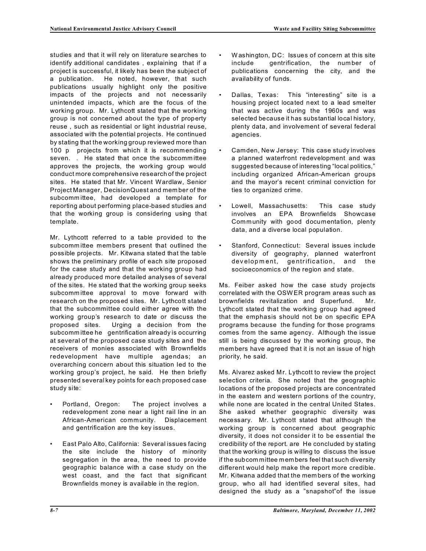studies and that it will rely on literature searches to identify additional candidates , explaining that if a project is successful, it likely has been the subject of a publication. He noted, however, that such publications usually highlight only the positive impacts of the projects and not necessarily unintended impacts, which are the focus of the working group. Mr. Lythcott stated that the working group is not concerned about the type of property reuse , such as residential or light industrial reuse, associated with the potential projects. He continued by stating that the working group reviewed more than 100 p projects from which it is recommending seven. . He stated that once the subcommittee approves the projects, the working group would conduct more comprehensive research of the project sites. He stated that Mr. Vincent Wardlaw, Senior Project Manager, DecisionQuest and member of the subcomm ittee, had developed a template for reporting about performing place-based studies and that the working group is considering using that template.

 subcomm ittee he gentrification already is occurring Mr. Lythcott referred to a table provided to the subcomm ittee members present that outlined the possible projects. Mr. Kitwana stated that the table shows the preliminary profile of each site proposed for the case study and that the working group had already produced more detailed analyses of several of the sites. He stated that the working group seeks subcomm ittee approval to move forward with research on the proposed sites. Mr. Lythcott stated that the subcommittee could either agree with the working group's research to date or discuss the proposed sites. Urging a decision from the at several of the proposed case study sites and the receivers of monies associated with Brownfields redevelopment have multiple agendas; an overarching concern about this situation led to the working group's project, he said. He then briefly presented several key points for each proposed case study site:

- Portland, Oregon: The project involves a redevelopment zone near a light rail line in an African-American community. Displacement and gentrification are the key issues.
- East Palo Alto, California: Several issues facing the site include the history of minority segregation in the area, the need to provide geographic balance with a case study on the west coast, and the fact that significant Brownfields money is available in the region.
- Washington, DC: Issues of concern at this site include gentrification, the number of publications concerning the city, and the availability of funds.
- Dallas, Texas: This "interesting" site is a housing project located next to a lead smelter that was active during the 1960s and was selected because it has substantial local history, plenty data, and involvement of several federal agencies.
- Camden, New Jersey: This case study involves a planned waterfront redevelopment and was suggested because of interesting "local politics," including organized African-American groups and the mayor's recent criminal conviction for ties to organized crime.
- Lowell, Massachusetts: This case study involves an EPA Brownfields Showcase Community with good documentation, plenty data, and a diverse local population.
- Stanford, Connecticut: Several issues include diversity of geography, planned waterfront development, gentrification, and the socioeconomics of the region and state.

Ms. Feiber asked how the case study projects correlated with the OSWER program areas such as brownfields revitalization and Superfund. Mr. Lythcott stated that the working group had agreed that the emphasis should not be on specific EPA programs because the funding for those programs comes from the same agency. Although the issue still is being discussed by the working group, the members have agreed that it is not an issue of high priority, he said.

Ms. Alvarez asked Mr. Lythcott to review the project selection criteria. She noted that the geographic locations of the proposed projects are concentrated in the eastern and western portions of the country, while none are located in the central United States. She asked whether geographic diversity was necessary. Mr. Lythcott stated that although the working group is concerned about geographic diversity, it does not consider it to be essential the credibility of the report. are He concluded by stating that the working group is willing to discuss the issue if the subcommittee members feel that such diversity different would help make the report more credible. Mr. Kitwana added that the mem bers of the working group, who all had identified several sites, had designed the study as a "snapshot"of the issue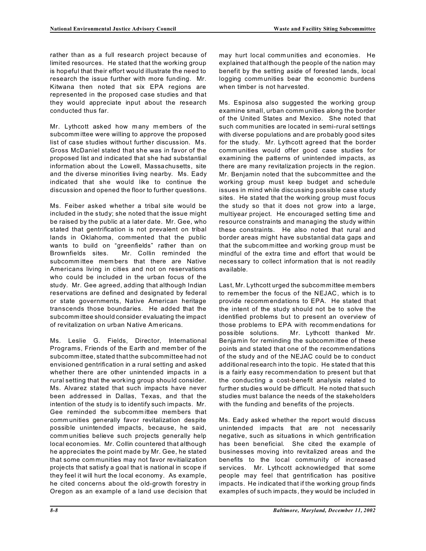rather than as a full research project because of limited resources. He stated that the working group is hopeful that their effort would illustrate the need to research the issue further with more funding. Mr. Kitwana then noted that six EPA regions are represented in the proposed case studies and that they would appreciate input about the research conducted thus far.

Mr. Lythcott asked how many members of the subcomm ittee were willing to approve the proposed list of case studies without further discussion. Ms. Gross McDaniel stated that she was in favor of the proposed list and indicated that she had substantial information about the Lowell, Massachusetts, site and the diverse minorities living nearby. Ms. Eady indicated that she would like to continue the discussion and opened the floor to further questions.

Ms. Feiber asked whether a tribal site would be included in the study; she noted that the issue might be raised by the public at a later date. Mr. Gee, who stated that gentrification is not prevalent on tribal lands in Oklahoma, commented that the public wants to build on "greenfields" rather than on Brownfields sites. Mr. Collin reminded the subcomm ittee members that there are Native Americans living in cities and not on reservations who could be included in the urban focus of the study. Mr. Gee agreed, adding that although Indian reservations are defined and designated by federal or state governments, Native American heritage transcends those boundaries. He added that the subcomm ittee should consider evaluating the impact of revitalization on urban Native Americans.

Ms. Leslie G. Fields, Director, International Programs, Friends of the Earth and mem ber of the subcomm ittee, stated that the subcommittee had not envisioned gentrification in a rural setting and asked whether there are other unintended impacts in a rural setting that the working group should consider. Ms. Alvarez stated that such impacts have never been addressed in Dallas, Texas, and that the intention of the study is to identify such impacts. Mr. Gee reminded the subcomm ittee members that comm unities generally favor revitalization despite possible unintended impacts, because, he said, comm unities believe such projects generally help local economies. Mr. Collin countered that although he appreciates the point made by Mr. Gee, he stated that some com munities may not favor revitialization projects that satisfy a goal that is national in scope if they feel it will hurt the local economy. As example, he cited concerns about the old-growth forestry in Oregon as an example of a land use decision that may hurt local comm unities and economies. He explained that although the people of the nation may benefit by the setting aside of forested lands, local logging comm unities bear the economic burdens when timber is not harvested.

Ms. Espinosa also suggested the working group examine small, urban comm unities along the border of the United States and Mexico. She noted that such communities are located in semi-rural settings with diverse populations and are probably good sites for the study. Mr. Lythcott agreed that the border comm unities would offer good case studies for examining the patterns of unintended impacts, as there are many revitalization projects in the region. Mr. Benjamin noted that the subcommittee and the working group must keep budget and schedule issues in mind while discussing possible case study sites. He stated that the working group must focus the study so that it does not grow into a large, multiyear project. He encouraged setting time and resource constraints and managing the study within these constraints. He also noted that rural and border areas might have substantial data gaps and that the subcommittee and working group must be mindful of the extra time and effort that would be necessary to collect information that is not readily available.

Last, Mr. Lythcott urged the subcommittee members to remember the focus of the NEJAC, which is to provide recomm endations to EPA. He stated that the intent of the study should not be to solve the identified problems but to present an overview of those problems to EPA with recomm endations for possible solutions. Mr. Lythcott thanked Mr. Benjamin for reminding the subcomm ittee of these points and stated that one of the recommendations of the study and of the NEJAC could be to conduct additional research into the topic. He stated that this is a fairly easy recommendation to present but that the conducting a cost-benefit analysis related to further studies would be difficult. He noted that such studies must balance the needs of the stakeholders with the funding and benefits of the projects.

Ms. Eady asked whether the report would discuss unintended impacts that are not necessarily negative, such as situations in which gentrification has been beneficial. She cited the example of businesses moving into revitalized areas and the benefits to the local community of increased services. Mr. Lythcott acknowledged that some people may feel that gentrification has positive impacts. He indicated that if the working group finds examples of such impacts, they would be included in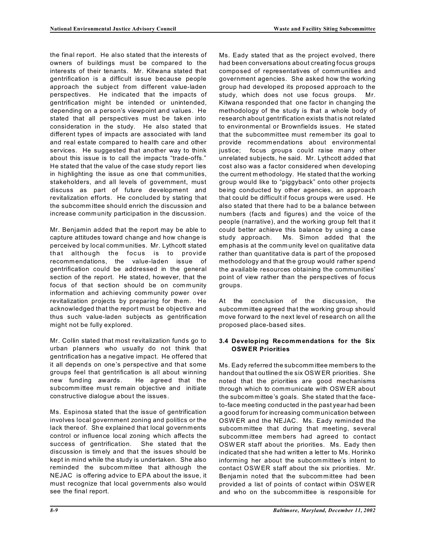the final report. He also stated that the interests of owners of buildings must be compared to the interests of their tenants. Mr. Kitwana stated that gentrification is a difficult issue because people approach the subject from different value-laden perspectives. He indicated that the impacts of gentrification might be intended or unintended, depending on a person's viewpoint and values. He stated that all perspectives must be taken into consideration in the study. He also stated that different types of impacts are associated with land and real estate compared to health care and other services. He suggested that another way to think about this issue is to call the impacts "trade-offs." He stated that the value of the case study report lies in highlighting the issue as one that communities, stakeholders, and all levels of government, must discuss as part of future development and revitalization efforts. He concluded by stating that the subcomm ittee should enrich the discussion and increase comm unity participation in the discussion.

Mr. Benjamin added that the report may be able to capture attitudes toward change and how change is perceived by local comm unities. Mr. Lythcott stated that although the focus is to provide recomm endations, the value-laden issue of gentrification could be addressed in the general section of the report. He stated, however, that the focus of that section should be on community information and achieving community power over revitalization projects by preparing for them. He acknowledged that the report must be objective and thus such value-laden subjects as gentrification might not be fully explored.

Mr. Collin stated that most revitalization funds go to urban planners who usually do not think that gentrification has a negative impact. He offered that it all depends on one's perspective and that some groups feel that gentrification is all about winning new funding awards. He agreed that the subcomm ittee must remain objective and initiate constructive dialogue about the issues.

Ms. Espinosa stated that the issue of gentrification involves local government zoning and politics or the lack thereof. She explained that local governments control or influence local zoning which affects the success of gentrification. She stated that the discussion is timely and that the issues should be kept in mind while the study is undertaken. She also reminded the subcommittee that although the NEJAC is offering advice to EPA about the issue, it must recognize that local governments also would see the final report.

Ms. Eady stated that as the project evolved, there had been conversations about creating focus groups composed of representatives of communities and government agencies. She asked how the working group had developed its proposed approach to the study, which does not use focus groups. Mr. Kitwana responded that one factor in changing the methodology of the study is that a whole body of research about gentrification exists that is not related to environmental or Brownfields issues. He stated that the subcommittee must remember its goal to provide recommendations about environmental justice; focus groups could raise many other unrelated subjects, he said. Mr. Lythcott added that cost also was a factor considered when developing the current methodology. He stated that the working group would like to "piggyback" onto other projects being conducted by other agencies, an approach that could be difficult if focus groups were used. He also stated that there had to be a balance between numbers (facts and figures) and the voice of the people (narrative), and the working group felt that it could better achieve this balance by using a case study approach. Ms. Simon added that the emphasis at the comm unity level on qualitative data rather than quantitative data is part of the proposed methodology and that the group would rather spend the available resources obtaining the communities' point of view rather than the perspectives of focus groups.

At the conclusion of the discussion, the subcomm ittee agreed that the working group should move forward to the next level of research on all the proposed place-based sites.

### **3.4 Developing Recommendations for the Six OSW ER Priorities**

Ms. Eady referred the subcomm ittee members to the handout that outlined the six OSWER priorities. She noted that the priorities are good mechanisms through which to communicate with OSW ER about the subcommittee's goals. She stated that the faceto-face meeting conducted in the past year had been a good forum for increasing comm unication between OSWER and the NEJAC. Ms. Eady reminded the subcommittee that during that meeting, several subcomm ittee members had agreed to contact OSWER staff about the priorities. Ms. Eady then indicated that she had written a letter to Ms. Horinko informing her about the subcommittee's intent to contact OSW ER staff about the six priorities. Mr. Benjamin noted that the subcommittee had been provided a list of points of contact within OSW ER and who on the subcomm ittee is responsible for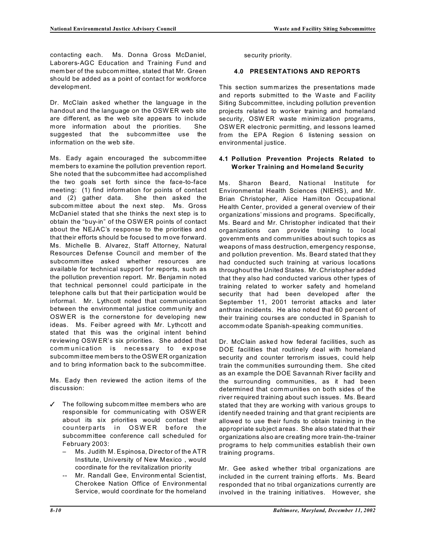contacting each. Ms. Donna Gross McDaniel, Laborers-AGC Education and Training Fund and member of the subcom mittee, stated that Mr. Green should be added as a point of contact for workforce development.

Dr. McClain asked whether the language in the handout and the language on the OSW ER web site are different, as the web site appears to include more information about the priorities. She suggested that the subcommittee use the information on the web site.

Ms. Eady again encouraged the subcommittee members to examine the pollution prevention report. She noted that the subcomm ittee had accomplished the two goals set forth since the face-to-face meeting: (1) find information for points of contact and (2) gather data. She then asked the subcommittee about the next step. Ms. Gross McDaniel stated that she thinks the next step is to obtain the "buy-in" of the OSW ER points of contact about the NEJAC's response to the priorities and that their efforts should be focused to move forward. Ms. Michelle B. Alvarez, Staff Attorney, Natural Resources Defense Council and mem ber of the subcommittee asked whether resources are available for technical support for reports, such as the pollution prevention report. Mr. Benjamin noted that technical personnel could participate in the telephone calls but that their participation would be informal. Mr. Lythcott noted that comm unication between the environmental justice comm unity and OSWER is the cornerstone for developing new ideas. Ms. Feiber agreed with Mr. Lythcott and stated that this was the original intent behind reviewing OSW ER's six priorities. She added that comm unication is necessary to expose subcomm ittee members to the OSWER organization and to bring information back to the subcomm ittee.

Ms. Eady then reviewed the action items of the discussion:

- The following subcommittee members who are responsible for communicating with OSWER about its six priorities would contact their counterparts in OSWER before the subcomm ittee conference call scheduled for February 2003:
	- Ms. Judith M. Espinosa, Director of the ATR Institute, University of New Mexico , would coordinate for the revitalization priority
	- -- Mr. Randall Gee, Environmental Scientist, Cherokee Nation Office of Environmental Service, would coordinate for the homeland

security priority.

#### **4.0 PRESENTATIONS AND REPORTS**

This section summarizes the presentations made and reports submitted to the Waste and Facility Siting Subcommittee, including pollution prevention projects related to worker training and homeland security, OSW ER waste minim ization programs, OSW ER electronic permitting, and lessons learned from the EPA Region 6 listening session on environmental justice.

#### **4.1 Pollution Prevention Projects Related to Worker Training and Homeland Security**

Ms. Sharon Beard, National Institute for Environmental Health Sciences (NIEHS), and Mr. Brian Christopher, Alice Hamilton Occupational Health Center, provided a general overview of their organizations' missions and programs. Specifically, Ms. Beard and Mr. Christopher indicated that their organizations can provide training to local governments and comm unities about such topics as weapons of mass destruction, emergency response, and pollution prevention. Ms. Beard stated that they had conducted such training at various locations throughout the United States. Mr. Christopher added that they also had conducted various other types of training related to worker safety and homeland security that had been developed after the September 11, 2001 terrorist attacks and later anthrax incidents. He also noted that 60 percent of their training courses are conducted in Spanish to accomm odate Spanish-speaking comm unities.

Dr. McClain asked how federal facilities, such as DOE facilities that routinely deal with homeland security and counter terrorism issues, could help train the communities surrounding them. She cited as an example the DOE Savannah River facility and the surrounding communities, as it had been determined that communities on both sides of the river required training about such issues. Ms. Beard stated that they are working with various groups to identify needed training and that grant recipients are allowed to use their funds to obtain training in the appropriate subject areas. She also stated that their organizations also are creating more train-the-trainer programs to help communities establish their own training programs.

Mr. Gee asked whether tribal organizations are included in the current training efforts. Ms. Beard responded that no tribal organizations currently are involved in the training initiatives. However, she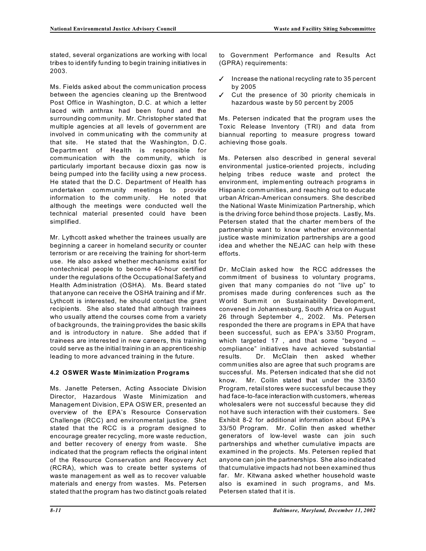stated, several organizations are working with local tribes to identify funding to begin training initiatives in 2003.

Ms. Fields asked about the comm unication process between the agencies cleaning up the Brentwood Post Office in Washington, D.C. at which a letter laced with anthrax had been found and the surrounding community. Mr. Christopher stated that multiple agencies at all levels of governm ent are involved in comm unicating with the comm unity at that site. He stated that the Washington, D.C. Department of Health is responsible for communication with the community, which is particularly important because dioxin gas now is being pumped into the facility using a new process. He stated that the D.C. Department of Health has undertaken community meetings to provide information to the comm unity. He noted that although the meetings were conducted well the technical material presented could have been simplified.

Mr. Lythcott asked whether the trainees usually are beginning a career in homeland security or counter terrorism or are receiving the training for short-term use. He also asked whether mechanisms exist for nontechnical people to become 40-hour certified under the regulations of the Occupational Safety and Health Administration (OSHA). Ms. Beard stated that anyone can receive the OSHA training and if Mr. Lythcott is interested, he should contact the grant recipients. She also stated that although trainees who usually attend the courses come from a variety of backgrounds, the training provides the basic skills and is introductory in nature. She added that if trainees are interested in new careers, this training could serve as the initial training in an apprenticeship leading to more advanced training in the future.

# **4.2 OSWER Waste Minimization Programs**

Ms. Janette Petersen, Acting Associate Division Director, Hazardous Waste Minimization and Management Division, EPA OSW ER, presented an overview of the EPA's Resource Conservation Challenge (RCC) and environmental justice. She stated that the RCC is a program designed to encourage greater recycling, more waste reduction, and better recovery of energy from waste. She indicated that the program reflects the original intent of the Resource Conservation and Recovery Act (RCRA), which was to create better systems of waste managem ent as well as to recover valuable materials and energy from wastes. Ms. Petersen stated that the program has two distinct goals related to Government Performance and Results Act (GPRA) requirements:

- $\checkmark$  Increase the national recycling rate to 35 percent by 2005
- $\checkmark$  Cut the presence of 30 priority chemicals in hazardous waste by 50 percent by 2005

Ms. Petersen indicated that the program uses the Toxic Release Inventory (TRI) and data from biannual reporting to measure progress toward achieving those goals.

Ms. Petersen also described in general several environmental justice-oriented projects, including helping tribes reduce waste and protect the environment, implementing outreach programs in Hispanic comm unities, and reaching out to educate urban African-American consumers. She described the National Waste Minimization Partnership, which is the driving force behind those projects. Lastly, Ms. Petersen stated that the charter mem bers of the partnership want to know whether environmental justice waste minimization partnerships are a good idea and whether the NEJAC can help with these efforts.

Dr. McClain asked how the RCC addresses the comm itment of business to voluntary programs, given that many companies do not "live up" to promises made during conferences such as the W orld Summit on Sustainability Development, convened in Johannesburg, South Africa on August 26 through September 4,, 2002. Ms. Petersen responded the there are programs in EPA that have been successful, such as EPA's 33/50 Program, which targeted 17 , and that some "beyond – compliance" initiatives have achieved substantial results. Dr. McClain then asked whether comm unities also are agree that such programs are successful. Ms. Petersen indicated that she did not know. Mr. Collin stated that under the 33/50 Program, retail stores were successful because they had face-to-face interaction with customers, whereas wholesalers were not successful because they did not have such interaction with their customers. See Exhibit 8-2 for additional information about EPA's 33/50 Program. Mr. Collin then asked whether generators of low-level waste can join such partnerships and whether cumulative impacts are examined in the projects. Ms. Petersen replied that anyone can join the partnerships. She also indicated that cumulative impacts had not been examined thus far. Mr. Kitwana asked whether household waste also is examined in such programs, and Ms. Petersen stated that it is.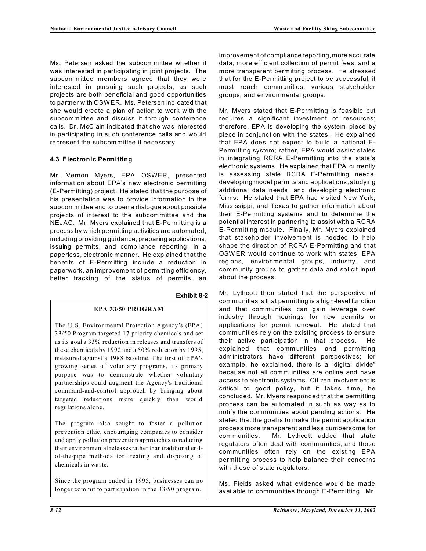Ms. Petersen asked the subcommittee whether it was interested in participating in joint projects. The subcomm ittee members agreed that they were interested in pursuing such projects, as such projects are both beneficial and good opportunities to partner with OSW ER. Ms. Petersen indicated that she would create a plan of action to work with the subcomm ittee and discuss it through conference calls. Dr. McClain indicated that she was interested in participating in such conference calls and would represent the subcommittee if necessary.

#### **4.3 Electronic Permitting**

Mr. Vernon Myers, EPA OSWER, presented information about EPA's new electronic permitting (E-Permitting) project. He stated that the purpose of his presentation was to provide information to the subcomm ittee and to open a dialogue about possible projects of interest to the subcommittee and the NEJAC. Mr. Myers explained that E-Permitting is a process by which permitting activities are automated, including providing guidance, preparing applications, issuing permits, and compliance reporting, in a paperless, electronic manner. He explained that the benefits of E-Permitting include a reduction in paperwork, an improvement of permitting efficiency, better tracking of the status of permits, an

#### **Exhibit 8-2**

#### **EPA 33/50 PROGRAM**

The U.S. Environmental Protection Agency's (EPA) 33/50 Program targeted 17 priority chemicals and set as its goal a 33% reduction in releases and transfers of these chemicals by 1992 and a 50% reduction by 1995, measured against a 1988 baseline. The first of EPA's growing series of voluntary programs, its primary purpose was to demonstrate whether voluntary partnerships could augment the Agency's traditional command-and-control approach by bringing about targeted reductions more quickly than would regulations alone.

The program also sought to foster a pollution prevention ethic, encouraging companies to consider and apply pollution prevention approaches to reducing their environmental releases rather than traditional endof-the-pipe methods for treating and disposing of chemicals in waste.

Since the program ended in 1995, businesses can no longer commit to participation in the 33/50 program.

improvement of compliance reporting, more accurate data, more efficient collection of permit fees, and a more transparent permitting process. He stressed that for the E-Permitting project to be successful, it must reach communities, various stakeholder groups, and environmental groups.

Mr. Myers stated that E-Permitting is feasible but requires a significant investment of resources; therefore, EPA is developing the system piece by piece in conjunction with the states. He explained that EPA does not expect to build a national E-Permitting system; rather, EPA would assist states in integrating RCRA E-Permitting into the state's electronic systems. He explained that EPA currently is assessing state RCRA E-Permitting needs, developing model permits and applications, studying additional data needs, and developing electronic forms. He stated that EPA had visited New York, Mississippi, and Texas to gather information about their E-Perm itting systems and to determine the potential interest in partnering to assist with a RCRA E-Permitting module. Finally, Mr. Myers explained that stakeholder involvement is needed to help shape the direction of RCRA E-Permitting and that OSWER would continue to work with states, EPA regions, environmental groups, industry, and community groups to gather data and solicit input about the process.

Mr. Lythcott then stated that the perspective of comm unities is that permitting is a high-level function and that comm unities can gain leverage over industry through hearings for new permits or applications for permit renewal. He stated that comm unities rely on the existing process to ensure their active participation in that process. He explained that comm unities and permitting administrators have different perspectives; for example, he explained, there is a "digital divide" because not all communities are online and have access to electronic systems. Citizen involvement is critical to good policy, but it takes time, he concluded. Mr. Myers responded that the permitting process can be automated in such as way as to notify the communities about pending actions. He stated that the goal is to make the permit application process more transparent and less cumbersome for communities. Mr. Lythcott added that state regulators often deal with comm unities, and those communities often rely on the existing EPA permitting process to help balance their concerns with those of state regulators.

Ms. Fields asked what evidence would be made available to communities through E-Permitting. Mr.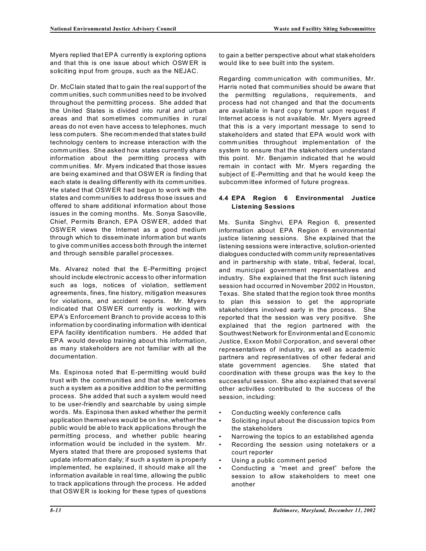Myers replied that EPA currently is exploring options and that this is one issue about which OSW ER is soliciting input from groups, such as the NEJAC.

Dr. McClain stated that to gain the real support of the comm unities, such comm unities need to be involved throughout the permitting process. She added that the United States is divided into rural and urban areas and that sometimes comm unities in rural areas do not even have access to telephones, much less computers. She recommended that states build technology centers to increase interaction with the comm unities. She asked how states currently share information about the permitting process with comm unities. Mr. Myers indicated that those issues are being examined and that OSW ER is finding that each state is dealing differently with its comm unities. He stated that OSWER had begun to work with the states and comm unities to address those issues and offered to share additional information about those issues in the coming months. Ms. Sonya Sasoville, Chief, Permits Branch, EPA OSW ER, added that OSW ER views the Internet as a good medium through which to disseminate information but wants to give comm unities access both through the internet and through sensible parallel processes.

Ms. Alvarez noted that the E-Permitting project should include electronic access to other information such as logs, notices of violation, settlement agreements, fines, fine history, mitigation measures for violations, and accident reports. Mr. Myers indicated that OSW ER currently is working with EPA's Enforcement Branch to provide access to this information by coordinating information with identical EPA facility identification numbers. He added that EPA would develop training about this information, as many stakeholders are not familiar with all the documentation.

Ms. Espinosa noted that E-permitting would build trust with the communities and that she welcomes such a system as a positive addition to the permitting process. She added that such a system would need to be user-friendly and searchable by using simple words. Ms. Espinosa then asked whether the permit application themselves would be on line, whether the public would be able to track applications through the permitting process, and whether public hearing information would be included in the system. Mr. Myers stated that there are proposed systems that update information daily; if such a system is properly implemented, he explained, it should make all the information available in real time, allowing the public to track applications through the process. He added that OSWER is looking for these types of questions

to gain a better perspective about what stakeholders would like to see built into the system.

Regarding comm unication with communities, Mr. Harris noted that communities should be aware that the permitting regulations, requirements, and process had not changed and that the documents are available in hard copy format upon request if Internet access is not available. Mr. Myers agreed that this is a very important message to send to stakeholders and stated that EPA would work with comm unities throughout implementation of the system to ensure that the stakeholders understand this point. Mr. Benjamin indicated that he would remain in contact with Mr. Myers regarding the subject of E-Permitting and that he would keep the subcomm ittee informed of future progress.

### **4.4 EPA Region 6 Environmental Justice Listening Sessions**

Ms. Sunita Singhvi, EPA Region 6, presented information about EPA Region 6 environmental justice listening sessions. She explained that the listening sessions were interactive, solution-oriented dialogues conducted with comm unity representatives and in partnership with state, tribal, federal, local, and municipal government representatives and industry. She explained that the first such listening session had occurred in November 2002 in Houston, Texas. She stated that the region took three months to plan this session to get the appropriate stakeholders involved early in the process. She reported that the session was very positive. She explained that the region partnered with the Southwest Network for Environmental and Economic Justice, Exxon Mobil Corporation, and several other representatives of industry, as well as academic partners and representatives of other federal and state government agencies. She stated that coordination with these groups was the key to the successful session. She also explained that several other activities contributed to the success of the session, including:

- Conducting weekly conference calls
- • Soliciting input about the discussion topics from the stakeholders
- Narrowing the topics to an established agenda
- Recording the session using notetakers or a court reporter
- Using a public comment period
- Conducting a "meet and greet" before the session to allow stakeholders to meet one another